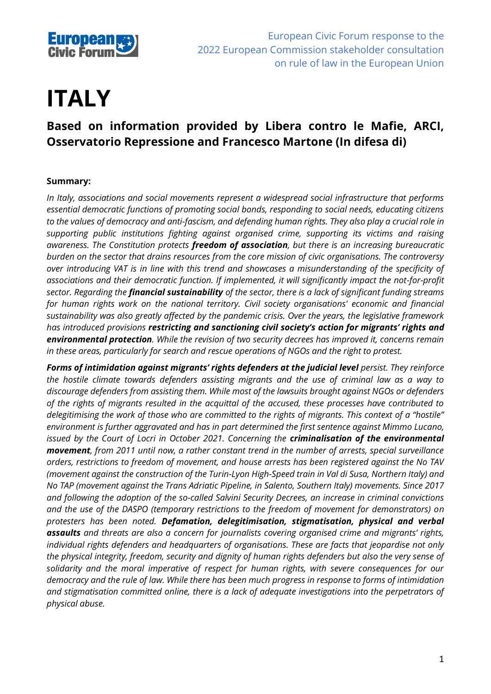

# **ITALY**

# **Based on information provided by Libera contro le Mafie, ARCI, Osservatorio Repressione and Francesco Martone (In difesa di)**

## **Summary:**

*In Italy, associations and social movements represent a widespread social infrastructure that performs essential democratic functions of promoting social bonds, responding to social needs, educating citizens to the values of democracy and anti-fascism, and defending human rights. They also play a crucial role in supporting public institutions fighting against organised crime, supporting its victims and raising awareness. The Constitution protects freedom of association, but there is an increasing bureaucratic burden on the sector that drains resources from the core mission of civic organisations. The controversy over introducing VAT is in line with this trend and showcases a misunderstanding of the specificity of associations and their democratic function. If implemented, it will significantly impact the not-for-profit sector. Regarding the financial sustainability of the sector, there is a lack of significant funding streams for human rights work on the national territory. Civil society organisations' economic and financial sustainability was also greatly affected by the pandemic crisis. Over the years, the legislative framework has introduced provisions restricting and sanctioning civil society's action for migrants' rights and environmental protection. While the revision of two security decrees has improved it, concerns remain in these areas, particularly for search and rescue operations of NGOs and the right to protest.*

*Forms of intimidation against migrants' rights defenders at the judicial level persist. They reinforce the hostile climate towards defenders assisting migrants and the use of criminal law as a way to discourage defenders from assisting them. While most of the lawsuits brought against NGOs or defenders of the rights of migrants resulted in the acquittal of the accused, these processes have contributed to delegitimising the work of those who are committed to the rights of migrants. This context of a "hostile" environment is further aggravated and has in part determined the first sentence against Mimmo Lucano, issued by the Court of Locri in October 2021. Concerning the criminalisation of the environmental movement, from 2011 until now, a rather constant trend in the number of arrests, special surveillance orders, restrictions to freedom of movement, and house arrests has been registered against the No TAV (movement against the construction of the Turin-Lyon High-Speed train in Val di Susa, Northern Italy) and No TAP (movement against the Trans Adriatic Pipeline, in Salento, Southern Italy) movements. Since 2017 and following the adoption of the so-called Salvini Security Decrees, an increase in criminal convictions and the use of the DASPO (temporary restrictions to the freedom of movement for demonstrators) on protesters has been noted. Defamation, delegitimisation, stigmatisation, physical and verbal assaults and threats are also a concern for journalists covering organised crime and migrants' rights, individual rights defenders and headquarters of organisations. These are facts that jeopardise not only the physical integrity, freedom, security and dignity of human rights defenders but also the very sense of solidarity and the moral imperative of respect for human rights, with severe consequences for our democracy and the rule of law. While there has been much progress in response to forms of intimidation and stigmatisation committed online, there is a lack of adequate investigations into the perpetrators of physical abuse.*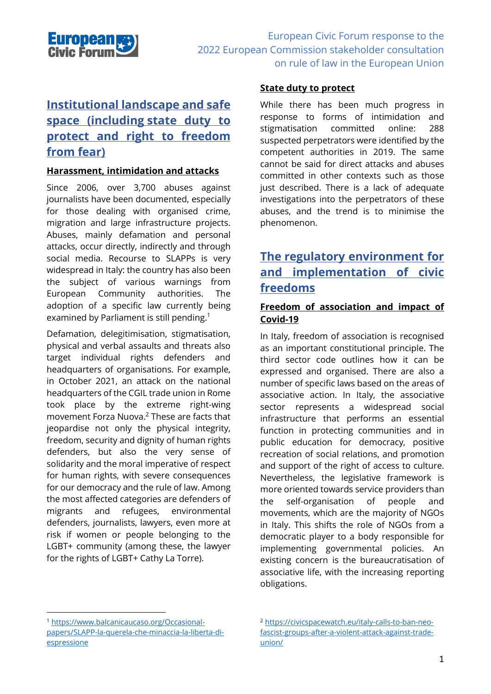

# **Institutional landscape and safe space (including state duty to protect and right to freedom from fear)**

#### **Harassment, intimidation and attacks**

Since 2006, over 3,700 abuses against journalists have been documented, especially for those dealing with organised crime, migration and large infrastructure projects. Abuses, mainly defamation and personal attacks, occur directly, indirectly and through social media. Recourse to SLAPPs is very widespread in Italy: the country has also been the subject of various warnings from European Community authorities. The adoption of a specific law currently being examined by Parliament is still pending.<sup>1</sup>

Defamation, delegitimisation, stigmatisation, physical and verbal assaults and threats also target individual rights defenders and headquarters of organisations. For example, in October 2021, an attack on the national headquarters of the CGIL trade union in Rome took place by the extreme right-wing movement Forza Nuova. <sup>2</sup> These are facts that jeopardise not only the physical integrity, freedom, security and dignity of human rights defenders, but also the very sense of solidarity and the moral imperative of respect for human rights, with severe consequences for our democracy and the rule of law. Among the most affected categories are defenders of migrants and refugees, environmental defenders, journalists, lawyers, even more at risk if women or people belonging to the LGBT+ community (among these, the lawyer for the rights of LGBT+ Cathy La Torre).

#### **State duty to protect**

While there has been much progress in response to forms of intimidation and stigmatisation committed online: 288 suspected perpetrators were identified by the competent authorities in 2019. The same cannot be said for direct attacks and abuses committed in other contexts such as those just described. There is a lack of adequate investigations into the perpetrators of these abuses, and the trend is to minimise the phenomenon.

# **The regulatory environment for and implementation of civic freedoms**

#### **Freedom of association and impact of Covid-19**

In Italy, freedom of association is recognised as an important constitutional principle. The third sector code outlines how it can be expressed and organised. There are also a number of specific laws based on the areas of associative action. In Italy, the associative sector represents a widespread social infrastructure that performs an essential function in protecting communities and in public education for democracy, positive recreation of social relations, and promotion and support of the right of access to culture. Nevertheless, the legislative framework is more oriented towards service providers than the self-organisation of people and movements, which are the majority of NGOs in Italy. This shifts the role of NGOs from a democratic player to a body responsible for implementing governmental policies. An existing concern is the bureaucratisation of associative life, with the increasing reporting obligations.

<sup>1</sup> [https://www.balcanicaucaso.org/Occasional](https://www.balcanicaucaso.org/Occasional-papers/SLAPP-la-querela-che-minaccia-la-liberta-di-espressione)[papers/SLAPP-la-querela-che-minaccia-la-liberta-di](https://www.balcanicaucaso.org/Occasional-papers/SLAPP-la-querela-che-minaccia-la-liberta-di-espressione)[espressione](https://www.balcanicaucaso.org/Occasional-papers/SLAPP-la-querela-che-minaccia-la-liberta-di-espressione)

<sup>2</sup> [https://civicspacewatch.eu/italy-calls-to-ban-neo](https://civicspacewatch.eu/italy-calls-to-ban-neo-fascist-groups-after-a-violent-attack-against-trade-union/)[fascist-groups-after-a-violent-attack-against-trade](https://civicspacewatch.eu/italy-calls-to-ban-neo-fascist-groups-after-a-violent-attack-against-trade-union/)[union/](https://civicspacewatch.eu/italy-calls-to-ban-neo-fascist-groups-after-a-violent-attack-against-trade-union/)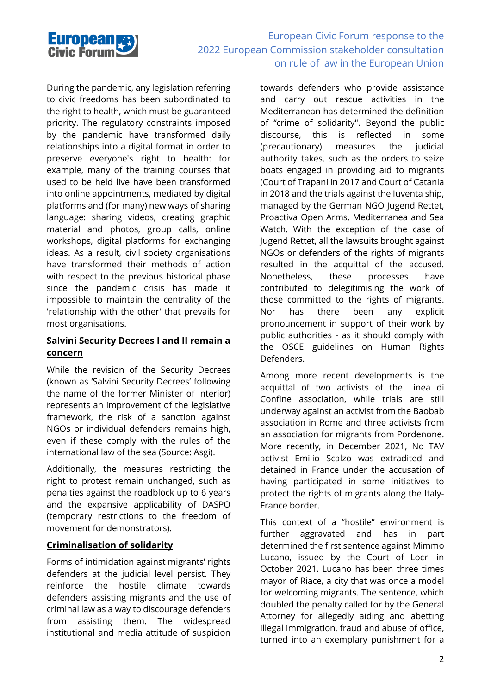

During the pandemic, any legislation referring to civic freedoms has been subordinated to the right to health, which must be guaranteed priority. The regulatory constraints imposed by the pandemic have transformed daily relationships into a digital format in order to preserve everyone's right to health: for example, many of the training courses that used to be held live have been transformed into online appointments, mediated by digital platforms and (for many) new ways of sharing language: sharing videos, creating graphic material and photos, group calls, online workshops, digital platforms for exchanging ideas. As a result, civil society organisations have transformed their methods of action with respect to the previous historical phase since the pandemic crisis has made it impossible to maintain the centrality of the 'relationship with the other' that prevails for most organisations.

#### **Salvini Security Decrees I and II remain a concern**

While the revision of the Security Decrees (known as 'Salvini Security Decrees' following the name of the former Minister of Interior) represents an improvement of the legislative framework, the risk of a sanction against NGOs or individual defenders remains high, even if these comply with the rules of the international law of the sea (Source: Asgi).

Additionally, the measures restricting the right to protest remain unchanged, such as penalties against the roadblock up to 6 years and the expansive applicability of DASPO (temporary restrictions to the freedom of movement for demonstrators).

#### **Criminalisation of solidarity**

Forms of intimidation against migrants' rights defenders at the judicial level persist. They reinforce the hostile climate towards defenders assisting migrants and the use of criminal law as a way to discourage defenders from assisting them. The widespread institutional and media attitude of suspicion

towards defenders who provide assistance and carry out rescue activities in the Mediterranean has determined the definition of "crime of solidarity". Beyond the public discourse, this is reflected in some (precautionary) measures the judicial authority takes, such as the orders to seize boats engaged in providing aid to migrants (Court of Trapani in 2017 and Court of Catania in 2018 and the trials against the Iuventa ship, managed by the German NGO Jugend Rettet, Proactiva Open Arms, Mediterranea and Sea Watch. With the exception of the case of Jugend Rettet, all the lawsuits brought against NGOs or defenders of the rights of migrants resulted in the acquittal of the accused. Nonetheless, these processes have contributed to delegitimising the work of those committed to the rights of migrants. Nor has there been any explicit pronouncement in support of their work by public authorities - as it should comply with the OSCE guidelines on Human Rights Defenders.

Among more recent developments is the acquittal of two activists of the Linea di Confine association, while trials are still underway against an activist from the Baobab association in Rome and three activists from an association for migrants from Pordenone. More recently, in December 2021, No TAV activist Emilio Scalzo was extradited and detained in France under the accusation of having participated in some initiatives to protect the rights of migrants along the Italy-France border.

This context of a "hostile" environment is further aggravated and has in part determined the first sentence against Mimmo Lucano, issued by the Court of Locri in October 2021. Lucano has been three times mayor of Riace, a city that was once a model for welcoming migrants. The sentence, which doubled the penalty called for by the General Attorney for allegedly aiding and abetting illegal immigration, fraud and abuse of office, turned into an exemplary punishment for a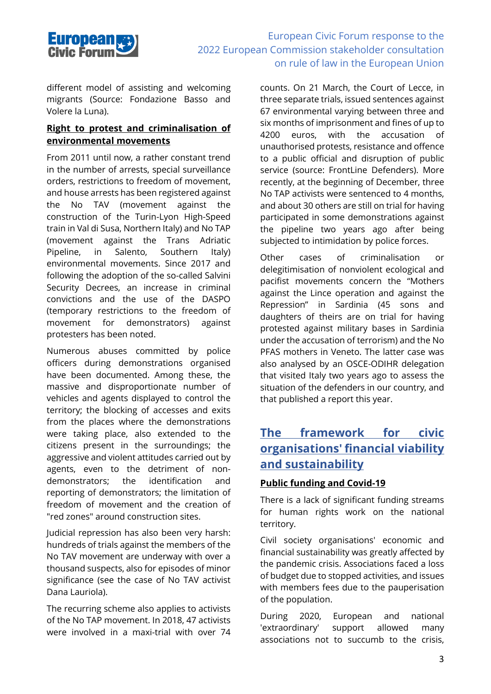

different model of assisting and welcoming migrants (Source: Fondazione Basso and Volere la Luna).

#### **Right to protest and criminalisation of environmental movements**

From 2011 until now, a rather constant trend in the number of arrests, special surveillance orders, restrictions to freedom of movement, and house arrests has been registered against the No TAV (movement against the construction of the Turin-Lyon High-Speed train in Val di Susa, Northern Italy) and No TAP (movement against the Trans Adriatic Pipeline, in Salento, Southern Italy) environmental movements. Since 2017 and following the adoption of the so-called Salvini Security Decrees, an increase in criminal convictions and the use of the DASPO (temporary restrictions to the freedom of movement for demonstrators) against protesters has been noted.

Numerous abuses committed by police officers during demonstrations organised have been documented. Among these, the massive and disproportionate number of vehicles and agents displayed to control the territory; the blocking of accesses and exits from the places where the demonstrations were taking place, also extended to the citizens present in the surroundings; the aggressive and violent attitudes carried out by agents, even to the detriment of nondemonstrators; the identification and reporting of demonstrators; the limitation of freedom of movement and the creation of "red zones" around construction sites.

Judicial repression has also been very harsh: hundreds of trials against the members of the No TAV movement are underway with over a thousand suspects, also for episodes of minor significance (see the case of No TAV activist Dana Lauriola).

The recurring scheme also applies to activists of the No TAP movement. In 2018, 47 activists were involved in a maxi-trial with over 74 counts. On 21 March, the Court of Lecce, in three separate trials, issued sentences against 67 environmental varying between three and six months of imprisonment and fines of up to 4200 euros, with the accusation of unauthorised protests, resistance and offence to a public official and disruption of public service (source: FrontLine Defenders). More recently, at the beginning of December, three No TAP activists were sentenced to 4 months, and about 30 others are still on trial for having participated in some demonstrations against the pipeline two years ago after being subjected to intimidation by police forces.

Other cases of criminalisation or delegitimisation of nonviolent ecological and pacifist movements concern the "Mothers against the Lince operation and against the Repression" in Sardinia (45 sons and daughters of theirs are on trial for having protested against military bases in Sardinia under the accusation of terrorism) and the No PFAS mothers in Veneto. The latter case was also analysed by an OSCE-ODIHR delegation that visited Italy two years ago to assess the situation of the defenders in our country, and that published a report this year.

## **The framework for civic organisations' financial viability and sustainability**

## **Public funding and Covid-19**

There is a lack of significant funding streams for human rights work on the national territory.

Civil society organisations' economic and financial sustainability was greatly affected by the pandemic crisis. Associations faced a loss of budget due to stopped activities, and issues with members fees due to the pauperisation of the population.

During 2020, European and national 'extraordinary' support allowed many associations not to succumb to the crisis,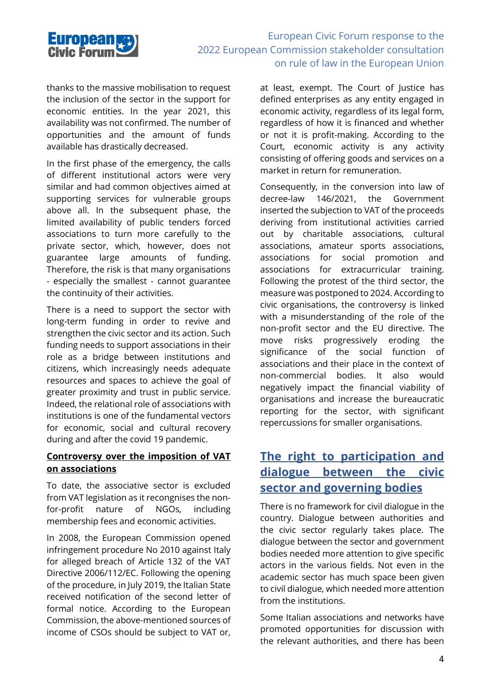

thanks to the massive mobilisation to request the inclusion of the sector in the support for economic entities. In the year 2021, this availability was not confirmed. The number of opportunities and the amount of funds available has drastically decreased.

In the first phase of the emergency, the calls of different institutional actors were very similar and had common objectives aimed at supporting services for vulnerable groups above all. In the subsequent phase, the limited availability of public tenders forced associations to turn more carefully to the private sector, which, however, does not guarantee large amounts of funding. Therefore, the risk is that many organisations - especially the smallest - cannot guarantee the continuity of their activities.

There is a need to support the sector with long-term funding in order to revive and strengthen the civic sector and its action. Such funding needs to support associations in their role as a bridge between institutions and citizens, which increasingly needs adequate resources and spaces to achieve the goal of greater proximity and trust in public service. Indeed, the relational role of associations with institutions is one of the fundamental vectors for economic, social and cultural recovery during and after the covid 19 pandemic.

#### **Controversy over the imposition of VAT on associations**

To date, the associative sector is excluded from VAT legislation as it recongnises the nonfor-profit nature of NGOs, including membership fees and economic activities.

In 2008, the European Commission opened infringement procedure No 2010 against Italy for alleged breach of Article 132 of the VAT Directive 2006/112/EC. Following the opening of the procedure, in July 2019, the Italian State received notification of the second letter of formal notice. According to the European Commission, the above-mentioned sources of income of CSOs should be subject to VAT or, at least, exempt. The Court of Justice has defined enterprises as any entity engaged in economic activity, regardless of its legal form, regardless of how it is financed and whether or not it is profit-making. According to the Court, economic activity is any activity consisting of offering goods and services on a market in return for remuneration.

Consequently, in the conversion into law of decree-law 146/2021, the Government inserted the subjection to VAT of the proceeds deriving from institutional activities carried out by charitable associations, cultural associations, amateur sports associations, associations for social promotion and associations for extracurricular training. Following the protest of the third sector, the measure was postponed to 2024. According to civic organisations, the controversy is linked with a misunderstanding of the role of the non-profit sector and the EU directive. The move risks progressively eroding the significance of the social function of associations and their place in the context of non-commercial bodies. It also would negatively impact the financial viability of organisations and increase the bureaucratic reporting for the sector, with significant repercussions for smaller organisations.

# **The right to participation and dialogue between the civic sector and governing bodies**

There is no framework for civil dialogue in the country. Dialogue between authorities and the civic sector regularly takes place. The dialogue between the sector and government bodies needed more attention to give specific actors in the various fields. Not even in the academic sector has much space been given to civil dialogue, which needed more attention from the institutions.

Some Italian associations and networks have promoted opportunities for discussion with the relevant authorities, and there has been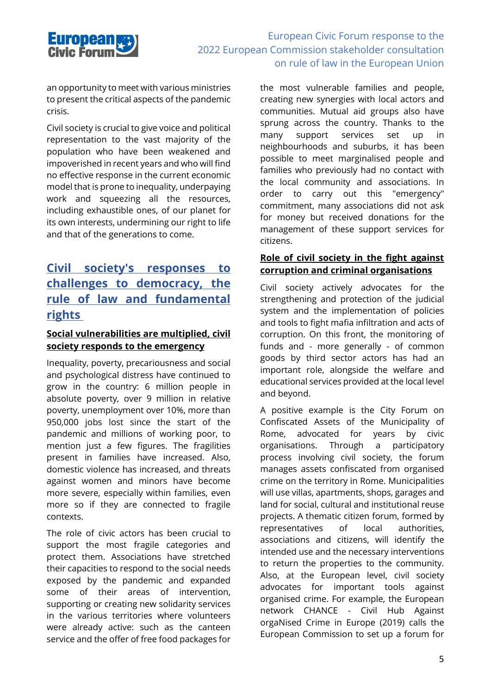

an opportunity to meet with various ministries to present the critical aspects of the pandemic crisis.

Civil society is crucial to give voice and political representation to the vast majority of the population who have been weakened and impoverished in recent years and who will find no effective response in the current economic model that is prone to inequality, underpaying work and squeezing all the resources, including exhaustible ones, of our planet for its own interests, undermining our right to life and that of the generations to come.

# **Civil society's responses to challenges to democracy, the rule of law and fundamental rights**

#### **Social vulnerabilities are multiplied, civil society responds to the emergency**

Inequality, poverty, precariousness and social and psychological distress have continued to grow in the country: 6 million people in absolute poverty, over 9 million in relative poverty, unemployment over 10%, more than 950,000 jobs lost since the start of the pandemic and millions of working poor, to mention just a few figures. The fragilities present in families have increased. Also, domestic violence has increased, and threats against women and minors have become more severe, especially within families, even more so if they are connected to fragile contexts.

The role of civic actors has been crucial to support the most fragile categories and protect them. Associations have stretched their capacities to respond to the social needs exposed by the pandemic and expanded some of their areas of intervention, supporting or creating new solidarity services in the various territories where volunteers were already active: such as the canteen service and the offer of free food packages for the most vulnerable families and people, creating new synergies with local actors and communities. Mutual aid groups also have sprung across the country. Thanks to the many support services set up in neighbourhoods and suburbs, it has been possible to meet marginalised people and families who previously had no contact with the local community and associations. In order to carry out this "emergency" commitment, many associations did not ask for money but received donations for the management of these support services for citizens.

#### **Role of civil society in the fight against corruption and criminal organisations**

Civil society actively advocates for the strengthening and protection of the judicial system and the implementation of policies and tools to fight mafia infiltration and acts of corruption. On this front, the monitoring of funds and - more generally - of common goods by third sector actors has had an important role, alongside the welfare and educational services provided at the local level and beyond.

A positive example is the City Forum on Confiscated Assets of the Municipality of Rome, advocated for years by civic organisations. Through a participatory process involving civil society, the forum manages assets confiscated from organised crime on the territory in Rome. Municipalities will use villas, apartments, shops, garages and land for social, cultural and institutional reuse projects. A thematic citizen forum, formed by representatives of local authorities, associations and citizens, will identify the intended use and the necessary interventions to return the properties to the community. Also, at the European level, civil society advocates for important tools against organised crime. For example, the European network CHANCE - Civil Hub Against orgaNised Crime in Europe (2019) calls the European Commission to set up a forum for